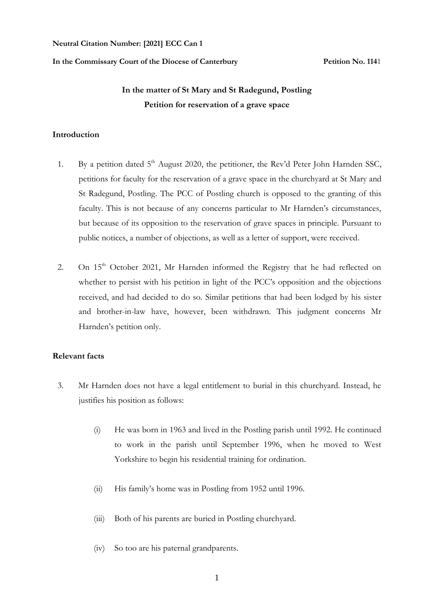#### **Neutral Citation Number: [2021] ECC Can 1**

#### **In the Commissary Court of the Diocese of Canterbury Petition No. 114**1

# **In the matter of St Mary and St Radegund, Postling Petition for reservation of a grave space**

#### **Introduction**

- 1. By a petition dated  $5<sup>th</sup>$  August 2020, the petitioner, the Rev'd Peter John Harnden SSC, petitions for faculty for the reservation of a grave space in the churchyard at St Mary and St Radegund, Postling. The PCC of Postling church is opposed to the granting of this faculty. This is not because of any concerns particular to Mr Harnden's circumstances, but because of its opposition to the reservation of grave spaces in principle. Pursuant to public notices, a number of objections, as well as a letter of support, were received.
- 2. On 15<sup>th</sup> October 2021, Mr Harnden informed the Registry that he had reflected on whether to persist with his petition in light of the PCC's opposition and the objections received, and had decided to do so. Similar petitions that had been lodged by his sister and brother-in-law have, however, been withdrawn. This judgment concerns Mr Harnden's petition only.

### **Relevant facts**

- 3. Mr Harnden does not have a legal entitlement to burial in this churchyard. Instead, he justifies his position as follows:
	- (i) He was born in 1963 and lived in the Postling parish until 1992. He continued to work in the parish until September 1996, when he moved to West Yorkshire to begin his residential training for ordination.
	- (ii) His family's home was in Postling from 1952 until 1996.
	- (iii) Both of his parents are buried in Postling churchyard.
	- (iv) So too are his paternal grandparents.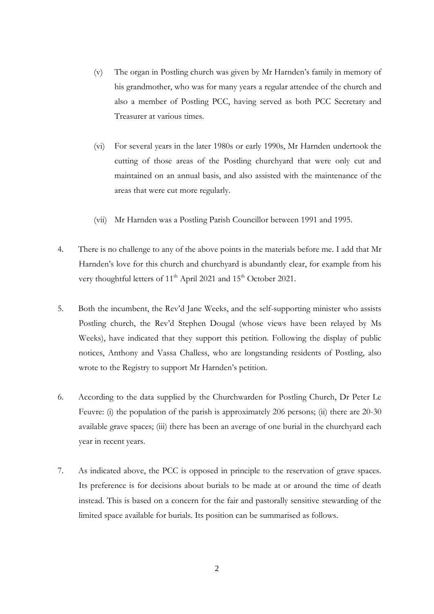- (v) The organ in Postling church was given by Mr Harnden's family in memory of his grandmother, who was for many years a regular attendee of the church and also a member of Postling PCC, having served as both PCC Secretary and Treasurer at various times.
- (vi) For several years in the later 1980s or early 1990s, Mr Harnden undertook the cutting of those areas of the Postling churchyard that were only cut and maintained on an annual basis, and also assisted with the maintenance of the areas that were cut more regularly.
- (vii) Mr Harnden was a Postling Parish Councillor between 1991 and 1995.
- 4. There is no challenge to any of the above points in the materials before me. I add that Mr Harnden's love for this church and churchyard is abundantly clear, for example from his very thoughtful letters of 11<sup>th</sup> April 2021 and 15<sup>th</sup> October 2021.
- 5. Both the incumbent, the Rev'd Jane Weeks, and the self-supporting minister who assists Postling church, the Rev'd Stephen Dougal (whose views have been relayed by Ms Weeks), have indicated that they support this petition. Following the display of public notices, Anthony and Vassa Challess, who are longstanding residents of Postling, also wrote to the Registry to support Mr Harnden's petition.
- 6. According to the data supplied by the Churchwarden for Postling Church, Dr Peter Le Feuvre: (i) the population of the parish is approximately 206 persons; (ii) there are 20-30 available grave spaces; (iii) there has been an average of one burial in the churchyard each year in recent years.
- 7. As indicated above, the PCC is opposed in principle to the reservation of grave spaces. Its preference is for decisions about burials to be made at or around the time of death instead. This is based on a concern for the fair and pastorally sensitive stewarding of the limited space available for burials. Its position can be summarised as follows.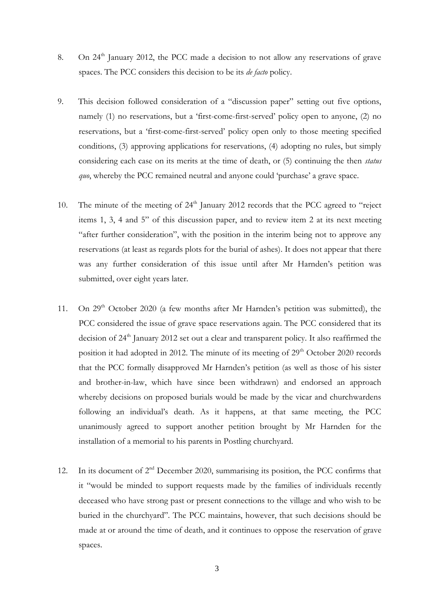- 8. On 24<sup>th</sup> January 2012, the PCC made a decision to not allow any reservations of grave spaces. The PCC considers this decision to be its *de facto* policy.
- 9. This decision followed consideration of a "discussion paper" setting out five options, namely (1) no reservations, but a 'first-come-first-served' policy open to anyone, (2) no reservations, but a 'first-come-first-served' policy open only to those meeting specified conditions, (3) approving applications for reservations, (4) adopting no rules, but simply considering each case on its merits at the time of death, or (5) continuing the then *status quo*, whereby the PCC remained neutral and anyone could 'purchase' a grave space.
- 10. The minute of the meeting of 24<sup>th</sup> January 2012 records that the PCC agreed to "reject" items 1, 3, 4 and 5" of this discussion paper, and to review item 2 at its next meeting "after further consideration", with the position in the interim being not to approve any reservations (at least as regards plots for the burial of ashes). It does not appear that there was any further consideration of this issue until after Mr Harnden's petition was submitted, over eight years later.
- 11. On  $29<sup>th</sup>$  October 2020 (a few months after Mr Harnden's petition was submitted), the PCC considered the issue of grave space reservations again. The PCC considered that its decision of  $24<sup>th</sup>$  January 2012 set out a clear and transparent policy. It also reaffirmed the position it had adopted in 2012. The minute of its meeting of  $29<sup>th</sup>$  October 2020 records that the PCC formally disapproved Mr Harnden's petition (as well as those of his sister and brother-in-law, which have since been withdrawn) and endorsed an approach whereby decisions on proposed burials would be made by the vicar and churchwardens following an individual's death. As it happens, at that same meeting, the PCC unanimously agreed to support another petition brought by Mr Harnden for the installation of a memorial to his parents in Postling churchyard.
- 12. In its document of  $2<sup>nd</sup>$  December 2020, summarising its position, the PCC confirms that it "would be minded to support requests made by the families of individuals recently deceased who have strong past or present connections to the village and who wish to be buried in the churchyard". The PCC maintains, however, that such decisions should be made at or around the time of death, and it continues to oppose the reservation of grave spaces.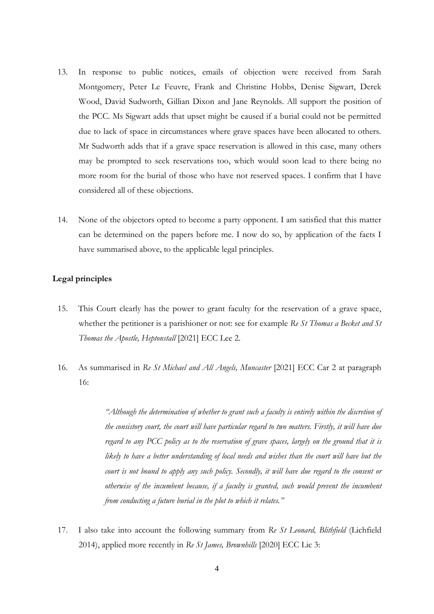- 13. In response to public notices, emails of objection were received from Sarah Montgomery, Peter Le Feuvre, Frank and Christine Hobbs, Denise Sigwart, Derek Wood, David Sudworth, Gillian Dixon and Jane Reynolds. All support the position of the PCC. Ms Sigwart adds that upset might be caused if a burial could not be permitted due to lack of space in circumstances where grave spaces have been allocated to others. Mr Sudworth adds that if a grave space reservation is allowed in this case, many others may be prompted to seek reservations too, which would soon lead to there being no more room for the burial of those who have not reserved spaces. I confirm that I have considered all of these objections.
- 14. None of the objectors opted to become a party opponent. I am satisfied that this matter can be determined on the papers before me. I now do so, by application of the facts I have summarised above, to the applicable legal principles.

#### **Legal principles**

- 15. This Court clearly has the power to grant faculty for the reservation of a grave space, whether the petitioner is a parishioner or not: see for example *Re St Thomas a Becket and St Thomas the Apostle, Heptonstall* [2021] ECC Lee 2.
- 16. As summarised in *Re St Michael and All Angels, Muncaster* [2021] ECC Car 2 at paragraph 16:

*"Although the determination of whether to grant such a faculty is entirely within the discretion of the consistory court, the court will have particular regard to two matters. Firstly, it will have due regard to any PCC policy as to the reservation of grave spaces, largely on the ground that it is* likely to have a better understanding of local needs and wishes than the court will have but the *court is not bound to apply any such policy. Secondly, it will have due regard to the consent or otherwise of the incumbent because, if a faculty is granted, such would prevent the incumbent from conducting a future burial in the plot to which it relates."*

17. I also take into account the following summary from *Re St Leonard, Blithfield* (Lichfield 2014), applied more recently in *Re St James, Brownhills* [2020] ECC Lic 3: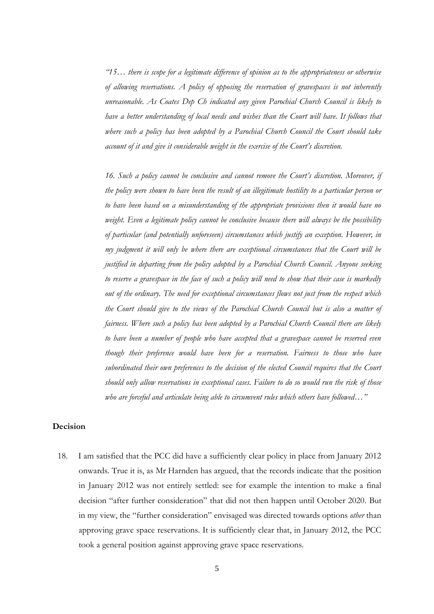*"15… there is scope for a legitimate difference of opinion as to the appropriateness or otherwise of allowing reservations. A policy of opposing the reservation of gravespaces is not inherently unreasonable. As Coates Dep Ch indicated any given Parochial Church Council is likely to have a better understanding of local needs and wishes than the Court will have. It follows that where such a policy has been adopted by a Parochial Church Council the Court should take account of it and give it considerable weight in the exercise of the Court's discretion.*

*16. Such a policy cannot be conclusive and cannot remove the Court's discretion. Moreover, if the policy were shown to have been the result of an illegitimate hostility to a particular person or to have been based on a misunderstanding of the appropriate provisions then it would have no weight. Even a legitimate policy cannot be conclusive because there will always be the possibility of particular (and potentially unforeseen) circumstances which justify an exception. However, in my judgment it will only be where there are exceptional circumstances that the Court will be justified in departing from the policy adopted by a Parochial Church Council. Anyone seeking to reserve a gravespace in the face of such a policy will need to show that their case is markedly out of the ordinary. The need for exceptional circumstances flows not just from the respect which the Court should give to the views of the Parochial Church Council but is also a matter of fairness. Where such a policy has been adopted by a Parochial Church Council there are likely to have been a number of people who have accepted that a gravespace cannot be reserved even though their preference would have been for a reservation. Fairness to those who have subordinated their own preferences to the decision of the elected Council requires that the Court should only allow reservations in exceptional cases. Failure to do so would run the risk of those who are forceful and articulate being able to circumvent rules which others have followed…"*

## **Decision**

18. I am satisfied that the PCC did have a sufficiently clear policy in place from January 2012 onwards. True it is, as Mr Harnden has argued, that the records indicate that the position in January 2012 was not entirely settled: see for example the intention to make a final decision "after further consideration" that did not then happen until October 2020. But in my view, the "further consideration" envisaged was directed towards options *other* than approving grave space reservations. It is sufficiently clear that, in January 2012, the PCC took a general position against approving grave space reservations.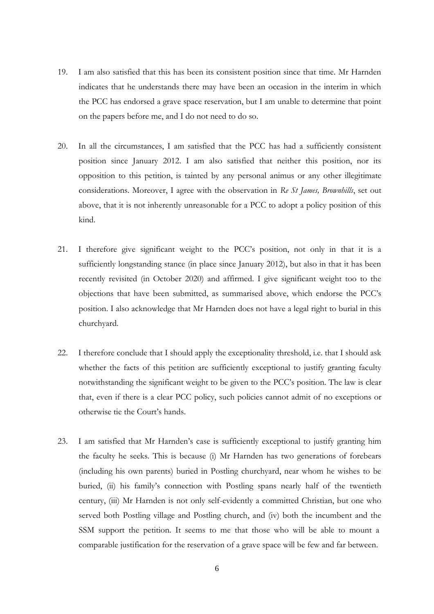- 19. I am also satisfied that this has been its consistent position since that time. Mr Harnden indicates that he understands there may have been an occasion in the interim in which the PCC has endorsed a grave space reservation, but I am unable to determine that point on the papers before me, and I do not need to do so.
- 20. In all the circumstances, I am satisfied that the PCC has had a sufficiently consistent position since January 2012. I am also satisfied that neither this position, nor its opposition to this petition, is tainted by any personal animus or any other illegitimate considerations. Moreover, I agree with the observation in *Re St James, Brownhills*, set out above, that it is not inherently unreasonable for a PCC to adopt a policy position of this kind.
- 21. I therefore give significant weight to the PCC's position, not only in that it is a sufficiently longstanding stance (in place since January 2012), but also in that it has been recently revisited (in October 2020) and affirmed. I give significant weight too to the objections that have been submitted, as summarised above, which endorse the PCC's position. I also acknowledge that Mr Harnden does not have a legal right to burial in this churchyard.
- 22. I therefore conclude that I should apply the exceptionality threshold, i.e. that I should ask whether the facts of this petition are sufficiently exceptional to justify granting faculty notwithstanding the significant weight to be given to the PCC's position. The law is clear that, even if there is a clear PCC policy, such policies cannot admit of no exceptions or otherwise tie the Court's hands.
- 23. I am satisfied that Mr Harnden's case is sufficiently exceptional to justify granting him the faculty he seeks. This is because (i) Mr Harnden has two generations of forebears (including his own parents) buried in Postling churchyard, near whom he wishes to be buried, (ii) his family's connection with Postling spans nearly half of the twentieth century, (iii) Mr Harnden is not only self-evidently a committed Christian, but one who served both Postling village and Postling church, and (iv) both the incumbent and the SSM support the petition. It seems to me that those who will be able to mount a comparable justification for the reservation of a grave space will be few and far between.